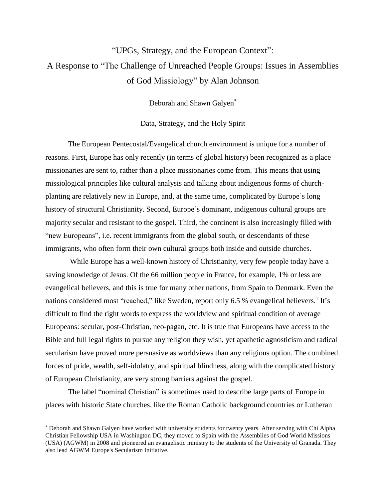## "UPGs, Strategy, and the European Context": A Response to "The Challenge of Unreached People Groups: Issues in Assemblies of God Missiology" by Alan Johnson

Deborah and Shawn Galyen\*

Data, Strategy, and the Holy Spirit

The European Pentecostal/Evangelical church environment is unique for a number of reasons. First, Europe has only recently (in terms of global history) been recognized as a place missionaries are sent to, rather than a place missionaries come from. This means that using missiological principles like cultural analysis and talking about indigenous forms of churchplanting are relatively new in Europe, and, at the same time, complicated by Europe's long history of structural Christianity. Second, Europe's dominant, indigenous cultural groups are majority secular and resistant to the gospel. Third, the continent is also increasingly filled with "new Europeans", i.e. recent immigrants from the global south, or descendants of these immigrants, who often form their own cultural groups both inside and outside churches.

While Europe has a well-known history of Christianity, very few people today have a saving knowledge of Jesus. Of the 66 million people in France, for example, 1% or less are evangelical believers, and this is true for many other nations, from Spain to Denmark. Even the nations considered most "reached," like Sweden, report only 6.5 % evangelical believers.<sup>1</sup> It's difficult to find the right words to express the worldview and spiritual condition of average Europeans: secular, post-Christian, neo-pagan, etc. It is true that Europeans have access to the Bible and full legal rights to pursue any religion they wish, yet apathetic agnosticism and radical secularism have proved more persuasive as worldviews than any religious option. The combined forces of pride, wealth, self-idolatry, and spiritual blindness, along with the complicated history of European Christianity, are very strong barriers against the gospel.

The label "nominal Christian" is sometimes used to describe large parts of Europe in places with historic State churches, like the Roman Catholic background countries or Lutheran

 $\overline{a}$ 

<sup>\*</sup> Deborah and Shawn Galyen have worked with university students for twenty years. After serving with Chi Alpha Christian Fellowship USA in Washington DC, they moved to Spain with the Assemblies of God World Missions (USA) (AGWM) in 2008 and pioneered an evangelistic ministry to the students of the University of Granada. They also lead AGWM Europe's Secularism Initiative.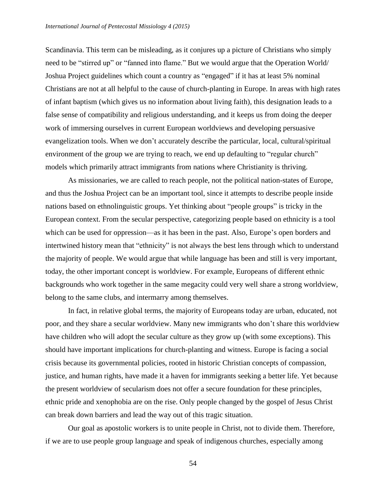Scandinavia. This term can be misleading, as it conjures up a picture of Christians who simply need to be "stirred up" or "fanned into flame." But we would argue that the Operation World/ Joshua Project guidelines which count a country as "engaged" if it has at least 5% nominal Christians are not at all helpful to the cause of church-planting in Europe. In areas with high rates of infant baptism (which gives us no information about living faith), this designation leads to a false sense of compatibility and religious understanding, and it keeps us from doing the deeper work of immersing ourselves in current European worldviews and developing persuasive evangelization tools. When we don't accurately describe the particular, local, cultural/spiritual environment of the group we are trying to reach, we end up defaulting to "regular church" models which primarily attract immigrants from nations where Christianity is thriving.

As missionaries, we are called to reach people, not the political nation-states of Europe, and thus the Joshua Project can be an important tool, since it attempts to describe people inside nations based on ethnolinguistic groups. Yet thinking about "people groups" is tricky in the European context. From the secular perspective, categorizing people based on ethnicity is a tool which can be used for oppression—as it has been in the past. Also, Europe's open borders and intertwined history mean that "ethnicity" is not always the best lens through which to understand the majority of people. We would argue that while language has been and still is very important, today, the other important concept is worldview. For example, Europeans of different ethnic backgrounds who work together in the same megacity could very well share a strong worldview, belong to the same clubs, and intermarry among themselves.

In fact, in relative global terms, the majority of Europeans today are urban, educated, not poor, and they share a secular worldview. Many new immigrants who don't share this worldview have children who will adopt the secular culture as they grow up (with some exceptions). This should have important implications for church-planting and witness. Europe is facing a social crisis because its governmental policies, rooted in historic Christian concepts of compassion, justice, and human rights, have made it a haven for immigrants seeking a better life. Yet because the present worldview of secularism does not offer a secure foundation for these principles, ethnic pride and xenophobia are on the rise. Only people changed by the gospel of Jesus Christ can break down barriers and lead the way out of this tragic situation.

Our goal as apostolic workers is to unite people in Christ, not to divide them. Therefore, if we are to use people group language and speak of indigenous churches, especially among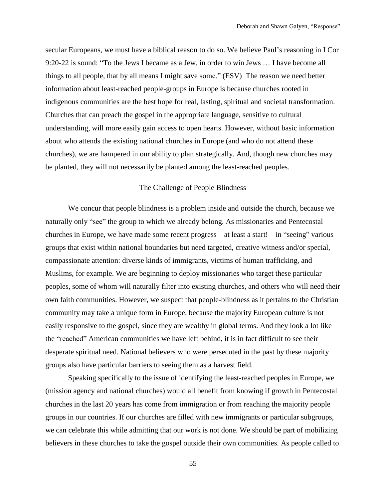secular Europeans, we must have a biblical reason to do so. We believe Paul's reasoning in I Cor 9:20-22 is sound: "To the Jews I became as a Jew, in order to win Jews … I have become all things to all people, that by all means I might save some." (ESV) The reason we need better information about least-reached people-groups in Europe is because churches rooted in indigenous communities are the best hope for real, lasting, spiritual and societal transformation. Churches that can preach the gospel in the appropriate language, sensitive to cultural understanding, will more easily gain access to open hearts. However, without basic information about who attends the existing national churches in Europe (and who do not attend these churches), we are hampered in our ability to plan strategically. And, though new churches may be planted, they will not necessarily be planted among the least-reached peoples.

## The Challenge of People Blindness

We concur that people blindness is a problem inside and outside the church, because we naturally only "see" the group to which we already belong. As missionaries and Pentecostal churches in Europe, we have made some recent progress—at least a start!—in "seeing" various groups that exist within national boundaries but need targeted, creative witness and/or special, compassionate attention: diverse kinds of immigrants, victims of human trafficking, and Muslims, for example. We are beginning to deploy missionaries who target these particular peoples, some of whom will naturally filter into existing churches, and others who will need their own faith communities. However, we suspect that people-blindness as it pertains to the Christian community may take a unique form in Europe, because the majority European culture is not easily responsive to the gospel, since they are wealthy in global terms. And they look a lot like the "reached" American communities we have left behind, it is in fact difficult to see their desperate spiritual need. National believers who were persecuted in the past by these majority groups also have particular barriers to seeing them as a harvest field.

Speaking specifically to the issue of identifying the least-reached peoples in Europe, we (mission agency and national churches) would all benefit from knowing if growth in Pentecostal churches in the last 20 years has come from immigration or from reaching the majority people groups in our countries. If our churches are filled with new immigrants or particular subgroups, we can celebrate this while admitting that our work is not done. We should be part of mobilizing believers in these churches to take the gospel outside their own communities. As people called to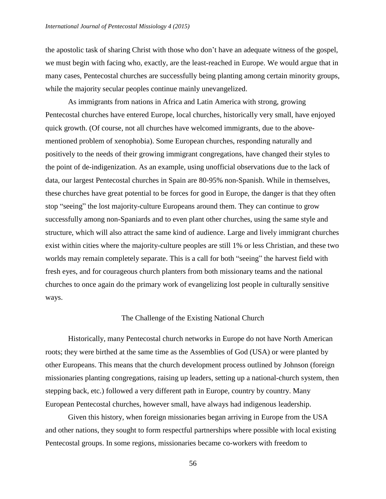the apostolic task of sharing Christ with those who don't have an adequate witness of the gospel, we must begin with facing who, exactly, are the least-reached in Europe. We would argue that in many cases, Pentecostal churches are successfully being planting among certain minority groups, while the majority secular peoples continue mainly unevangelized.

As immigrants from nations in Africa and Latin America with strong, growing Pentecostal churches have entered Europe, local churches, historically very small, have enjoyed quick growth. (Of course, not all churches have welcomed immigrants, due to the abovementioned problem of xenophobia). Some European churches, responding naturally and positively to the needs of their growing immigrant congregations, have changed their styles to the point of de-indigenization. As an example, using unofficial observations due to the lack of data, our largest Pentecostal churches in Spain are 80-95% non-Spanish. While in themselves, these churches have great potential to be forces for good in Europe, the danger is that they often stop "seeing" the lost majority-culture Europeans around them. They can continue to grow successfully among non-Spaniards and to even plant other churches, using the same style and structure, which will also attract the same kind of audience. Large and lively immigrant churches exist within cities where the majority-culture peoples are still 1% or less Christian, and these two worlds may remain completely separate. This is a call for both "seeing" the harvest field with fresh eyes, and for courageous church planters from both missionary teams and the national churches to once again do the primary work of evangelizing lost people in culturally sensitive ways.

## The Challenge of the Existing National Church

Historically, many Pentecostal church networks in Europe do not have North American roots; they were birthed at the same time as the Assemblies of God (USA) or were planted by other Europeans. This means that the church development process outlined by Johnson (foreign missionaries planting congregations, raising up leaders, setting up a national-church system, then stepping back, etc.) followed a very different path in Europe, country by country. Many European Pentecostal churches, however small, have always had indigenous leadership.

Given this history, when foreign missionaries began arriving in Europe from the USA and other nations, they sought to form respectful partnerships where possible with local existing Pentecostal groups. In some regions, missionaries became co-workers with freedom to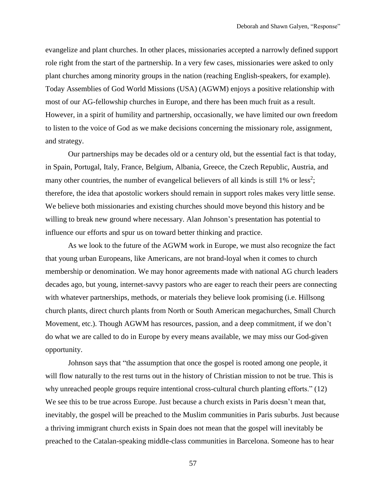evangelize and plant churches. In other places, missionaries accepted a narrowly defined support role right from the start of the partnership. In a very few cases, missionaries were asked to only plant churches among minority groups in the nation (reaching English-speakers, for example). Today Assemblies of God World Missions (USA) (AGWM) enjoys a positive relationship with most of our AG-fellowship churches in Europe, and there has been much fruit as a result. However, in a spirit of humility and partnership, occasionally, we have limited our own freedom to listen to the voice of God as we make decisions concerning the missionary role, assignment, and strategy.

Our partnerships may be decades old or a century old, but the essential fact is that today, in Spain, Portugal, Italy, France, Belgium, Albania, Greece, the Czech Republic, Austria, and many other countries, the number of evangelical believers of all kinds is still  $1\%$  or less<sup>2</sup>; therefore, the idea that apostolic workers should remain in support roles makes very little sense. We believe both missionaries and existing churches should move beyond this history and be willing to break new ground where necessary. Alan Johnson's presentation has potential to influence our efforts and spur us on toward better thinking and practice.

As we look to the future of the AGWM work in Europe, we must also recognize the fact that young urban Europeans, like Americans, are not brand-loyal when it comes to church membership or denomination. We may honor agreements made with national AG church leaders decades ago, but young, internet-savvy pastors who are eager to reach their peers are connecting with whatever partnerships, methods, or materials they believe look promising (i.e. Hillsong church plants, direct church plants from North or South American megachurches, Small Church Movement, etc.). Though AGWM has resources, passion, and a deep commitment, if we don't do what we are called to do in Europe by every means available, we may miss our God-given opportunity.

Johnson says that "the assumption that once the gospel is rooted among one people, it will flow naturally to the rest turns out in the history of Christian mission to not be true. This is why unreached people groups require intentional cross-cultural church planting efforts." (12) We see this to be true across Europe. Just because a church exists in Paris doesn't mean that, inevitably, the gospel will be preached to the Muslim communities in Paris suburbs. Just because a thriving immigrant church exists in Spain does not mean that the gospel will inevitably be preached to the Catalan-speaking middle-class communities in Barcelona. Someone has to hear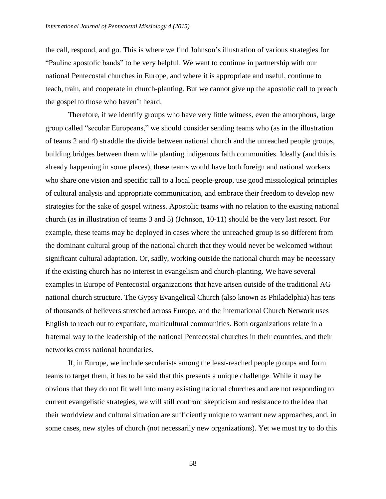the call, respond, and go. This is where we find Johnson's illustration of various strategies for "Pauline apostolic bands" to be very helpful. We want to continue in partnership with our national Pentecostal churches in Europe, and where it is appropriate and useful, continue to teach, train, and cooperate in church-planting. But we cannot give up the apostolic call to preach the gospel to those who haven't heard.

Therefore, if we identify groups who have very little witness, even the amorphous, large group called "secular Europeans," we should consider sending teams who (as in the illustration of teams 2 and 4) straddle the divide between national church and the unreached people groups, building bridges between them while planting indigenous faith communities. Ideally (and this is already happening in some places), these teams would have both foreign and national workers who share one vision and specific call to a local people-group, use good missiological principles of cultural analysis and appropriate communication, and embrace their freedom to develop new strategies for the sake of gospel witness. Apostolic teams with no relation to the existing national church (as in illustration of teams 3 and 5) (Johnson, 10-11) should be the very last resort. For example, these teams may be deployed in cases where the unreached group is so different from the dominant cultural group of the national church that they would never be welcomed without significant cultural adaptation. Or, sadly, working outside the national church may be necessary if the existing church has no interest in evangelism and church-planting. We have several examples in Europe of Pentecostal organizations that have arisen outside of the traditional AG national church structure. The Gypsy Evangelical Church (also known as Philadelphia) has tens of thousands of believers stretched across Europe, and the International Church Network uses English to reach out to expatriate, multicultural communities. Both organizations relate in a fraternal way to the leadership of the national Pentecostal churches in their countries, and their networks cross national boundaries.

If, in Europe, we include secularists among the least-reached people groups and form teams to target them, it has to be said that this presents a unique challenge. While it may be obvious that they do not fit well into many existing national churches and are not responding to current evangelistic strategies, we will still confront skepticism and resistance to the idea that their worldview and cultural situation are sufficiently unique to warrant new approaches, and, in some cases, new styles of church (not necessarily new organizations). Yet we must try to do this